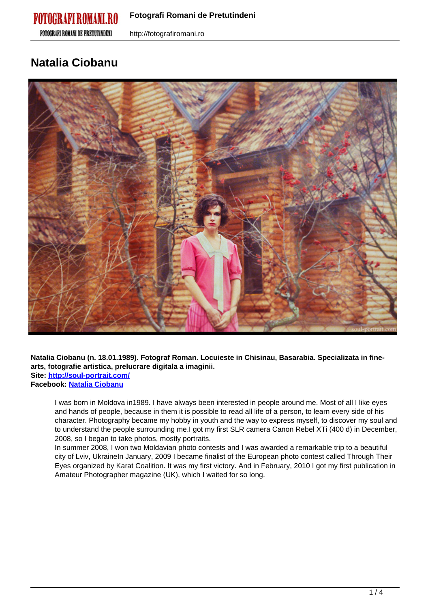## **FOTOGRAFI ROMANI DE PRETUTINDENI**

## **Natalia Ciobanu**



**Natalia Ciobanu (n. 18.01.1989). Fotograf Roman. Locuieste in Chisinau, Basarabia. Specializata in finearts, fotografie artistica, prelucrare digitala a imaginii. Site: <http://soul-portrait.com/> Facebook: [Natalia Ciobanu](http://www.facebook.com/#!/pages/Natalia-Ciobanu/)**

I was born in Moldova in1989. I have always been interested in people around me. Most of all I like eyes and hands of people, because in them it is possible to read all life of a person, to learn every side of his character. Photography became my hobby in youth and the way to express myself, to discover my soul and to understand the people surrounding me.I got my first SLR camera Canon Rebel XTi (400 d) in December, 2008, so I began to take photos, mostly portraits.

In summer 2008, I won two Moldavian photo contests and I was awarded a remarkable trip to a beautiful city of Lviv, UkraineIn January, 2009 I became finalist of the European photo contest called Through Their Eyes organized by Karat Coalition. It was my first victory. And in February, 2010 I got my first publication in Amateur Photographer magazine (UK), which I waited for so long.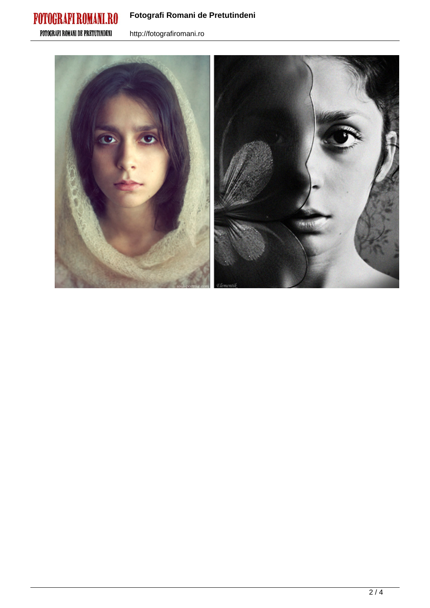## **Fotografi Romani de Pretutindeni**

**FOTOGRAFI ROMANI.RO** FOTOGRAFI ROMANI DE PRETUTINDENI

http://fotografiromani.ro

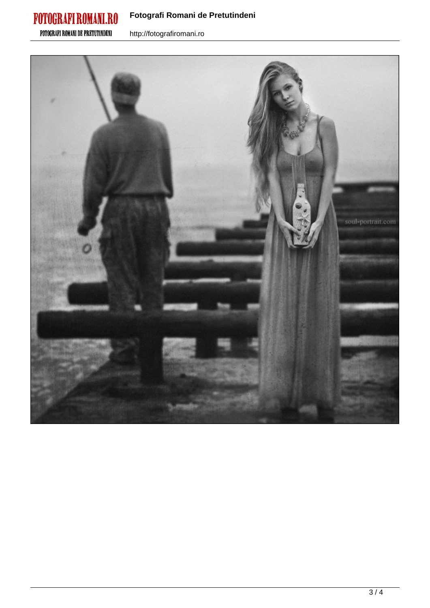## **Fotografi Romani de Pretutindeni**

**FOTOGRAFI ROMANI.RO** FOTOGRAFI ROMANI DE PRETUTINDENI

http://fotografiromani.ro